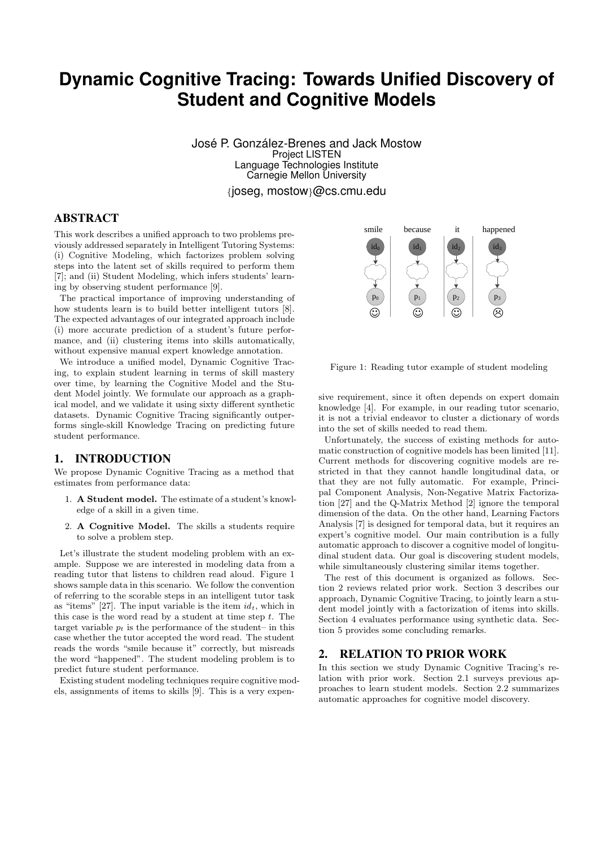# **Dynamic Cognitive Tracing: Towards Unified Discovery of Student and Cognitive Models**

José P. González-Brenes and Jack Mostow Project LISTEN Language Technologies Institute Carnegie Mellon University

{joseg, mostow}@cs.cmu.edu

# ABSTRACT

This work describes a unified approach to two problems previously addressed separately in Intelligent Tutoring Systems: (i) Cognitive Modeling, which factorizes problem solving steps into the latent set of skills required to perform them [7]; and (ii) Student Modeling, which infers students' learning by observing student performance [9].

The practical importance of improving understanding of how students learn is to build better intelligent tutors [8]. The expected advantages of our integrated approach include (i) more accurate prediction of a student's future performance, and (ii) clustering items into skills automatically, without expensive manual expert knowledge annotation.

We introduce a unified model, Dynamic Cognitive Tracing, to explain student learning in terms of skill mastery over time, by learning the Cognitive Model and the Student Model jointly. We formulate our approach as a graphical model, and we validate it using sixty different synthetic datasets. Dynamic Cognitive Tracing significantly outperforms single-skill Knowledge Tracing on predicting future student performance.

# 1. INTRODUCTION

We propose Dynamic Cognitive Tracing as a method that estimates from performance data:

- 1. A Student model. The estimate of a student's knowledge of a skill in a given time.
- 2. A Cognitive Model. The skills a students require to solve a problem step.

Let's illustrate the student modeling problem with an example. Suppose we are interested in modeling data from a reading tutor that listens to children read aloud. Figure 1 shows sample data in this scenario. We follow the convention of referring to the scorable steps in an intelligent tutor task as "items" [27]. The input variable is the item  $id_t$ , which in this case is the word read by a student at time step  $t$ . The target variable  $p_t$  is the performance of the student– in this case whether the tutor accepted the word read. The student reads the words "smile because it" correctly, but misreads the word "happened". The student modeling problem is to predict future student performance.

Existing student modeling techniques require cognitive models, assignments of items to skills [9]. This is a very expen-



Figure 1: Reading tutor example of student modeling

sive requirement, since it often depends on expert domain knowledge [4]. For example, in our reading tutor scenario, it is not a trivial endeavor to cluster a dictionary of words into the set of skills needed to read them.

Unfortunately, the success of existing methods for automatic construction of cognitive models has been limited [11]. Current methods for discovering cognitive models are restricted in that they cannot handle longitudinal data, or that they are not fully automatic. For example, Principal Component Analysis, Non-Negative Matrix Factorization [27] and the Q-Matrix Method [2] ignore the temporal dimension of the data. On the other hand, Learning Factors Analysis [7] is designed for temporal data, but it requires an expert's cognitive model. Our main contribution is a fully automatic approach to discover a cognitive model of longitudinal student data. Our goal is discovering student models, while simultaneously clustering similar items together.

The rest of this document is organized as follows. Section 2 reviews related prior work. Section 3 describes our approach, Dynamic Cognitive Tracing, to jointly learn a student model jointly with a factorization of items into skills. Section 4 evaluates performance using synthetic data. Section 5 provides some concluding remarks.

# 2. RELATION TO PRIOR WORK

In this section we study Dynamic Cognitive Tracing's relation with prior work. Section 2.1 surveys previous approaches to learn student models. Section 2.2 summarizes automatic approaches for cognitive model discovery.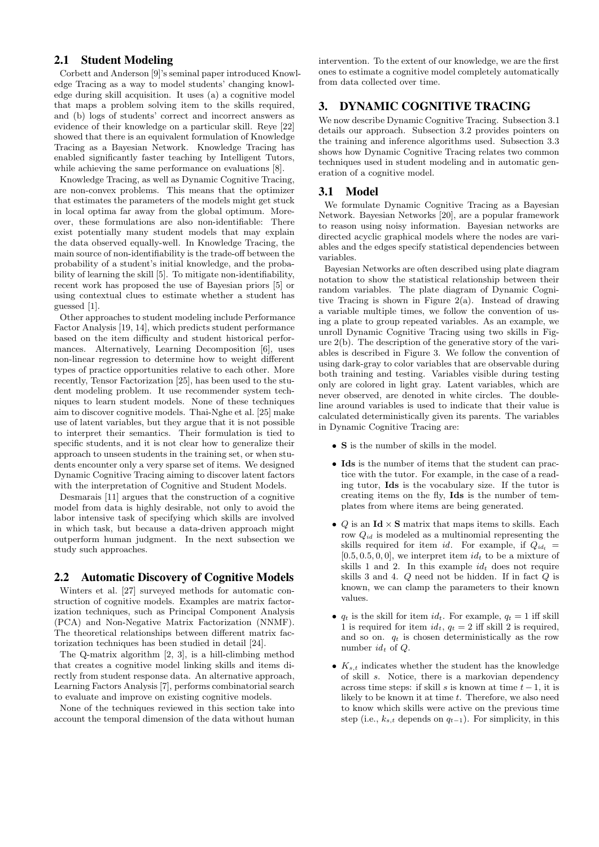## 2.1 Student Modeling

Corbett and Anderson [9]'s seminal paper introduced Knowledge Tracing as a way to model students' changing knowledge during skill acquisition. It uses (a) a cognitive model that maps a problem solving item to the skills required, and (b) logs of students' correct and incorrect answers as evidence of their knowledge on a particular skill. Reye [22] showed that there is an equivalent formulation of Knowledge Tracing as a Bayesian Network. Knowledge Tracing has enabled significantly faster teaching by Intelligent Tutors, while achieving the same performance on evaluations [8].

Knowledge Tracing, as well as Dynamic Cognitive Tracing, are non-convex problems. This means that the optimizer that estimates the parameters of the models might get stuck in local optima far away from the global optimum. Moreover, these formulations are also non-identifiable: There exist potentially many student models that may explain the data observed equally-well. In Knowledge Tracing, the main source of non-identifiability is the trade-off between the probability of a student's initial knowledge, and the probability of learning the skill [5]. To mitigate non-identifiability, recent work has proposed the use of Bayesian priors [5] or using contextual clues to estimate whether a student has guessed [1].

Other approaches to student modeling include Performance Factor Analysis [19, 14], which predicts student performance based on the item difficulty and student historical performances. Alternatively, Learning Decomposition [6], uses non-linear regression to determine how to weight different types of practice opportunities relative to each other. More recently, Tensor Factorization [25], has been used to the student modeling problem. It use recommender system techniques to learn student models. None of these techniques aim to discover cognitive models. Thai-Nghe et al. [25] make use of latent variables, but they argue that it is not possible to interpret their semantics. Their formulation is tied to specific students, and it is not clear how to generalize their approach to unseen students in the training set, or when students encounter only a very sparse set of items. We designed Dynamic Cognitive Tracing aiming to discover latent factors with the interpretation of Cognitive and Student Models.

Desmarais [11] argues that the construction of a cognitive model from data is highly desirable, not only to avoid the labor intensive task of specifying which skills are involved in which task, but because a data-driven approach might outperform human judgment. In the next subsection we study such approaches.

#### 2.2 Automatic Discovery of Cognitive Models

Winters et al. [27] surveyed methods for automatic construction of cognitive models. Examples are matrix factorization techniques, such as Principal Component Analysis (PCA) and Non-Negative Matrix Factorization (NNMF). The theoretical relationships between different matrix factorization techniques has been studied in detail [24].

The Q-matrix algorithm [2, 3], is a hill-climbing method that creates a cognitive model linking skills and items directly from student response data. An alternative approach, Learning Factors Analysis [7], performs combinatorial search to evaluate and improve on existing cognitive models.

None of the techniques reviewed in this section take into account the temporal dimension of the data without human intervention. To the extent of our knowledge, we are the first ones to estimate a cognitive model completely automatically from data collected over time.

## 3. DYNAMIC COGNITIVE TRACING

We now describe Dynamic Cognitive Tracing. Subsection 3.1 details our approach. Subsection 3.2 provides pointers on the training and inference algorithms used. Subsection 3.3 shows how Dynamic Cognitive Tracing relates two common techniques used in student modeling and in automatic generation of a cognitive model.

### 3.1 Model

We formulate Dynamic Cognitive Tracing as a Bayesian Network. Bayesian Networks [20], are a popular framework to reason using noisy information. Bayesian networks are directed acyclic graphical models where the nodes are variables and the edges specify statistical dependencies between variables.

Bayesian Networks are often described using plate diagram notation to show the statistical relationship between their random variables. The plate diagram of Dynamic Cognitive Tracing is shown in Figure  $2(a)$ . Instead of drawing a variable multiple times, we follow the convention of using a plate to group repeated variables. As an example, we unroll Dynamic Cognitive Tracing using two skills in Figure 2(b). The description of the generative story of the variables is described in Figure 3. We follow the convention of using dark-gray to color variables that are observable during both training and testing. Variables visible during testing only are colored in light gray. Latent variables, which are never observed, are denoted in white circles. The doubleline around variables is used to indicate that their value is calculated deterministically given its parents. The variables in Dynamic Cognitive Tracing are:

- $\bullet\,$   $\bf S$  is the number of skills in the model.
- Ids is the number of items that the student can practice with the tutor. For example, in the case of a reading tutor, Ids is the vocabulary size. If the tutor is creating items on the fly, Ids is the number of templates from where items are being generated.
- $Q$  is an Id  $\times$  S matrix that maps items to skills. Each row  $Q_{id}$  is modeled as a multinomial representing the skills required for item id. For example, if  $Q_{id_t}$  =  $[0.5, 0.5, 0, 0]$ , we interpret item  $id_t$  to be a mixture of skills 1 and 2. In this example  $id_t$  does not require skills 3 and 4. Q need not be hidden. If in fact Q is known, we can clamp the parameters to their known values.
- $q_t$  is the skill for item  $id_t$ . For example,  $q_t = 1$  iff skill 1 is required for item  $id_t$ ,  $q_t = 2$  iff skill 2 is required, and so on.  $q_t$  is chosen deterministically as the row number  $id_t$  of  $Q$ .
- $K_{s,t}$  indicates whether the student has the knowledge of skill s. Notice, there is a markovian dependency across time steps: if skill s is known at time  $t - 1$ , it is likely to be known it at time  $t$ . Therefore, we also need to know which skills were active on the previous time step (i.e.,  $k_{s,t}$  depends on  $q_{t-1}$ ). For simplicity, in this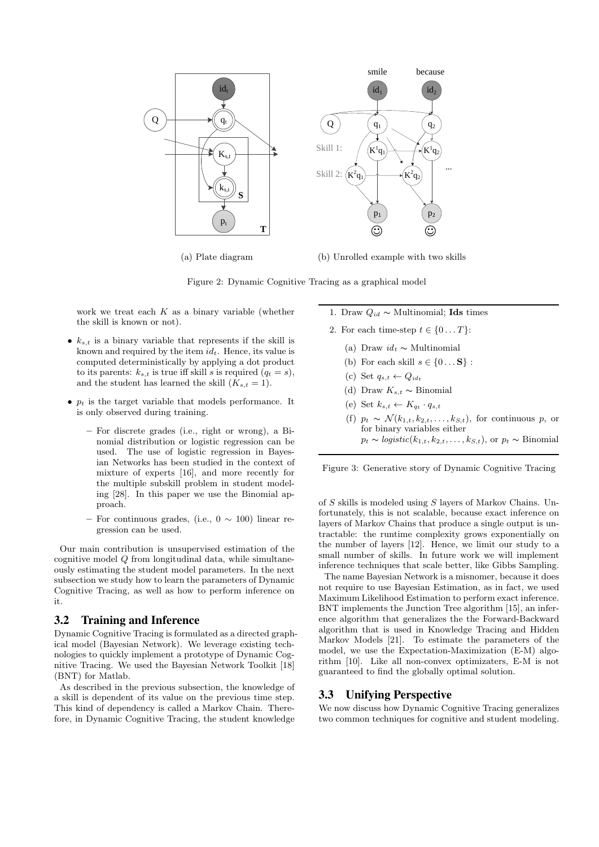

(a) Plate diagram

(b) Unrolled example with two skills

Figure 2: Dynamic Cognitive Tracing as a graphical model

work we treat each  $K$  as a binary variable (whether the skill is known or not).

- $k_{s,t}$  is a binary variable that represents if the skill is known and required by the item  $id_t$ . Hence, its value is computed deterministically by applying a dot product to its parents:  $k_{s,t}$  is true iff skill s is required  $(q_t = s)$ , and the student has learned the skill  $(K_{s,t} = 1)$ .
- $p_t$  is the target variable that models performance. It is only observed during training.
	- For discrete grades (i.e., right or wrong), a Binomial distribution or logistic regression can be used. The use of logistic regression in Bayesian Networks has been studied in the context of mixture of experts [16], and more recently for the multiple subskill problem in student modeling [28]. In this paper we use the Binomial approach.
	- For continuous grades, (i.e.,  $0 \sim 100$ ) linear regression can be used.

Our main contribution is unsupervised estimation of the cognitive model  $Q$  from longitudinal data, while simultaneously estimating the student model parameters. In the next subsection we study how to learn the parameters of Dynamic Cognitive Tracing, as well as how to perform inference on it.

## 3.2 Training and Inference

Dynamic Cognitive Tracing is formulated as a directed graphical model (Bayesian Network). We leverage existing technologies to quickly implement a prototype of Dynamic Cognitive Tracing. We used the Bayesian Network Toolkit [18] (BNT) for Matlab.

As described in the previous subsection, the knowledge of a skill is dependent of its value on the previous time step. This kind of dependency is called a Markov Chain. Therefore, in Dynamic Cognitive Tracing, the student knowledge

- 1. Draw  $Q_{id}$  ∼ Multinomial; **Ids** times
- 2. For each time-step  $t \in \{0...T\}$ :
	- (a) Draw  $id_t \sim$  Multinomial
	- (b) For each skill  $s \in \{0, \ldots S\}$ :
	- (c) Set  $q_{s,t} \leftarrow Q_{id_t}$
	- (d) Draw  $K_{s,t} \sim \text{Binomial}$
	- (e) Set  $k_{s,t} \leftarrow K_{qt} \cdot q_{s,t}$
	- (f)  $p_t \sim \mathcal{N}(k_{1,t}, k_{2,t}, \ldots, k_{S,t})$ , for continuous p, or for binary variables either  $p_t \sim logistic(k_{1,t}, k_{2,t}, \ldots, k_{S,t}),$  or  $p_t \sim Binomial$

Figure 3: Generative story of Dynamic Cognitive Tracing

of S skills is modeled using S layers of Markov Chains. Unfortunately, this is not scalable, because exact inference on layers of Markov Chains that produce a single output is untractable: the runtime complexity grows exponentially on the number of layers [12]. Hence, we limit our study to a small number of skills. In future work we will implement inference techniques that scale better, like Gibbs Sampling.

The name Bayesian Network is a misnomer, because it does not require to use Bayesian Estimation, as in fact, we used Maximum Likelihood Estimation to perform exact inference. BNT implements the Junction Tree algorithm [15], an inference algorithm that generalizes the the Forward-Backward algorithm that is used in Knowledge Tracing and Hidden Markov Models [21]. To estimate the parameters of the model, we use the Expectation-Maximization (E-M) algorithm [10]. Like all non-convex optimizaters, E-M is not guaranteed to find the globally optimal solution.

#### 3.3 Unifying Perspective

We now discuss how Dynamic Cognitive Tracing generalizes two common techniques for cognitive and student modeling.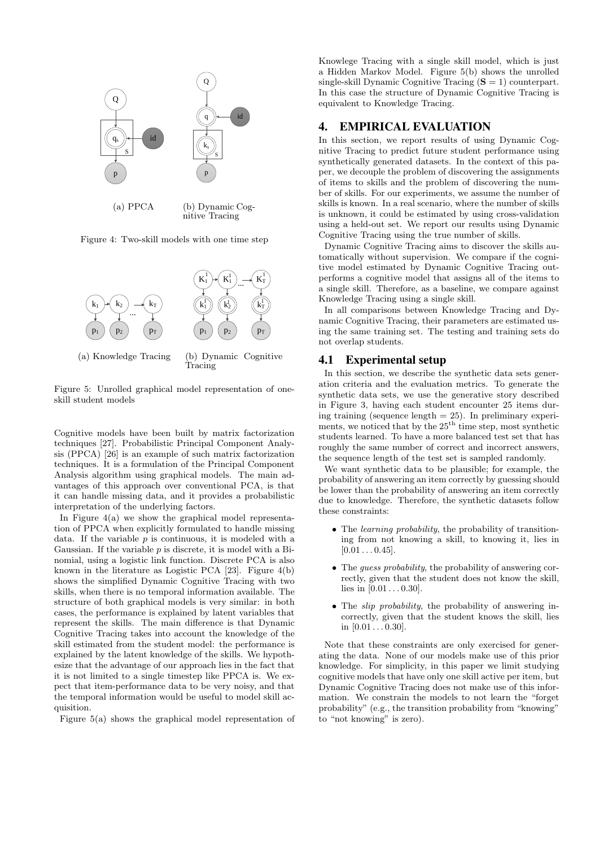

Figure 4: Two-skill models with one time step



Figure 5: Unrolled graphical model representation of oneskill student models

Cognitive models have been built by matrix factorization techniques [27]. Probabilistic Principal Component Analysis (PPCA) [26] is an example of such matrix factorization techniques. It is a formulation of the Principal Component Analysis algorithm using graphical models. The main advantages of this approach over conventional PCA, is that it can handle missing data, and it provides a probabilistic interpretation of the underlying factors.

In Figure 4(a) we show the graphical model representation of PPCA when explicitly formulated to handle missing data. If the variable p is continuous, it is modeled with a Gaussian. If the variable  $p$  is discrete, it is model with a Binomial, using a logistic link function. Discrete PCA is also known in the literature as Logistic PCA [23]. Figure 4(b) shows the simplified Dynamic Cognitive Tracing with two skills, when there is no temporal information available. The structure of both graphical models is very similar: in both cases, the performance is explained by latent variables that represent the skills. The main difference is that Dynamic Cognitive Tracing takes into account the knowledge of the skill estimated from the student model: the performance is explained by the latent knowledge of the skills. We hypothesize that the advantage of our approach lies in the fact that it is not limited to a single timestep like PPCA is. We expect that item-performance data to be very noisy, and that the temporal information would be useful to model skill acquisition.

Figure 5(a) shows the graphical model representation of

Knowlege Tracing with a single skill model, which is just a Hidden Markov Model. Figure 5(b) shows the unrolled single-skill Dynamic Cognitive Tracing  $(S = 1)$  counterpart. In this case the structure of Dynamic Cognitive Tracing is equivalent to Knowledge Tracing.

### 4. EMPIRICAL EVALUATION

In this section, we report results of using Dynamic Cognitive Tracing to predict future student performance using synthetically generated datasets. In the context of this paper, we decouple the problem of discovering the assignments of items to skills and the problem of discovering the number of skills. For our experiments, we assume the number of skills is known. In a real scenario, where the number of skills is unknown, it could be estimated by using cross-validation using a held-out set. We report our results using Dynamic Cognitive Tracing using the true number of skills.

Dynamic Cognitive Tracing aims to discover the skills automatically without supervision. We compare if the cognitive model estimated by Dynamic Cognitive Tracing outperforms a cognitive model that assigns all of the items to a single skill. Therefore, as a baseline, we compare against Knowledge Tracing using a single skill.

In all comparisons between Knowledge Tracing and Dynamic Cognitive Tracing, their parameters are estimated using the same training set. The testing and training sets do not overlap students.

#### 4.1 Experimental setup

In this section, we describe the synthetic data sets generation criteria and the evaluation metrics. To generate the synthetic data sets, we use the generative story described in Figure 3, having each student encounter 25 items during training (sequence length  $= 25$ ). In preliminary experiments, we noticed that by the  $25<sup>th</sup>$  time step, most synthetic students learned. To have a more balanced test set that has roughly the same number of correct and incorrect answers, the sequence length of the test set is sampled randomly.

We want synthetic data to be plausible; for example, the probability of answering an item correctly by guessing should be lower than the probability of answering an item correctly due to knowledge. Therefore, the synthetic datasets follow these constraints:

- The *learning probability*, the probability of transitioning from not knowing a skill, to knowing it, lies in  $[0.01 \ldots 0.45]$ .
- The *quess probability*, the probability of answering correctly, given that the student does not know the skill, lies in  $[0.01 \dots 0.30]$ .
- The *slip probability*, the probability of answering incorrectly, given that the student knows the skill, lies in  $[0.01 \ldots 0.30]$ .

Note that these constraints are only exercised for generating the data. None of our models make use of this prior knowledge. For simplicity, in this paper we limit studying cognitive models that have only one skill active per item, but Dynamic Cognitive Tracing does not make use of this information. We constrain the models to not learn the "forget probability" (e.g., the transition probability from "knowing" to "not knowing" is zero).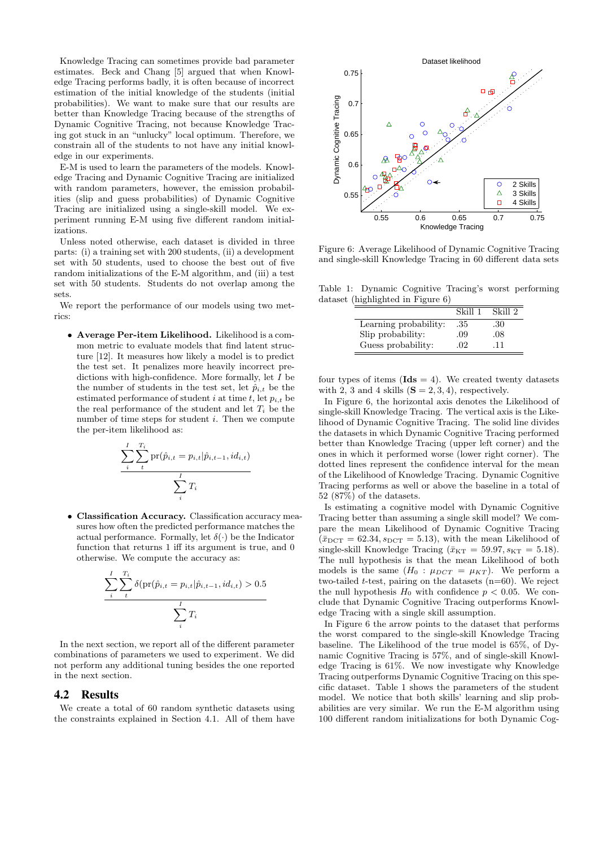Knowledge Tracing can sometimes provide bad parameter estimates. Beck and Chang [5] argued that when Knowledge Tracing performs badly, it is often because of incorrect estimation of the initial knowledge of the students (initial probabilities). We want to make sure that our results are better than Knowledge Tracing because of the strengths of Dynamic Cognitive Tracing, not because Knowledge Tracing got stuck in an "unlucky" local optimum. Therefore, we constrain all of the students to not have any initial knowledge in our experiments.

E-M is used to learn the parameters of the models. Knowledge Tracing and Dynamic Cognitive Tracing are initialized with random parameters, however, the emission probabilities (slip and guess probabilities) of Dynamic Cognitive Tracing are initialized using a single-skill model. We experiment running E-M using five different random initializations.

Unless noted otherwise, each dataset is divided in three parts: (i) a training set with 200 students, (ii) a development set with 50 students, used to choose the best out of five random initializations of the E-M algorithm, and (iii) a test set with 50 students. Students do not overlap among the sets.

We report the performance of our models using two metrics:

• Average Per-item Likelihood. Likelihood is a common metric to evaluate models that find latent structure [12]. It measures how likely a model is to predict the test set. It penalizes more heavily incorrect predictions with high-confidence. More formally, let I be the number of students in the test set, let  $\hat{p}_{i,t}$  be the estimated performance of student i at time t, let  $p_{i,t}$  be the real performance of the student and let  $T_i$  be the number of time steps for student i. Then we compute the per-item likelihood as:

$$
\frac{\sum_{i}\sum_{t}^{T_i}\text{pr}(\hat{p}_{i,t}=p_{i,t}|\hat{p}_{i,t-1},id_{i,t})}{\sum_{i}^{I}T_i}
$$

• Classification Accuracy. Classification accuracy measures how often the predicted performance matches the actual performance. Formally, let  $\delta(\cdot)$  be the Indicator function that returns 1 iff its argument is true, and 0 otherwise. We compute the accuracy as:



In the next section, we report all of the different parameter combinations of parameters we used to experiment. We did not perform any additional tuning besides the one reported in the next section.

#### 4.2 Results

We create a total of 60 random synthetic datasets using the constraints explained in Section 4.1. All of them have



Figure 6: Average Likelihood of Dynamic Cognitive Tracing and single-skill Knowledge Tracing in 60 different data sets

Table 1: Dynamic Cognitive Tracing's worst performing dataset (highlighted in Figure 6)

|                       | Skill 1 | Skill 2 |
|-----------------------|---------|---------|
| Learning probability: | .35     | .30     |
| Slip probability:     | .09     | .08     |
| Guess probability:    | .02     | .11     |

four types of items  $(\text{Ids} = 4)$ . We created twenty datasets with 2, 3 and 4 skills  $(S = 2, 3, 4)$ , respectively.

In Figure 6, the horizontal axis denotes the Likelihood of single-skill Knowledge Tracing. The vertical axis is the Likelihood of Dynamic Cognitive Tracing. The solid line divides the datasets in which Dynamic Cognitive Tracing performed better than Knowledge Tracing (upper left corner) and the ones in which it performed worse (lower right corner). The dotted lines represent the confidence interval for the mean of the Likelihood of Knowledge Tracing. Dynamic Cognitive Tracing performs as well or above the baseline in a total of 52 (87%) of the datasets.

Is estimating a cognitive model with Dynamic Cognitive Tracing better than assuming a single skill model? We compare the mean Likelihood of Dynamic Cognitive Tracing  $(\bar{x}_{\text{DCT}} = 62.34, s_{\text{DCT}} = 5.13)$ , with the mean Likelihood of single-skill Knowledge Tracing ( $\bar{x}_{\text{KT}} = 59.97$ ,  $s_{\text{KT}} = 5.18$ ). The null hypothesis is that the mean Likelihood of both models is the same  $(H_0: \mu_{DCT} = \mu_{KT})$ . We perform a two-tailed  $t$ -test, pairing on the datasets  $(n=60)$ . We reject the null hypothesis  $H_0$  with confidence  $p < 0.05$ . We conclude that Dynamic Cognitive Tracing outperforms Knowledge Tracing with a single skill assumption.

In Figure 6 the arrow points to the dataset that performs the worst compared to the single-skill Knowledge Tracing baseline. The Likelihood of the true model is 65%, of Dynamic Cognitive Tracing is 57%, and of single-skill Knowledge Tracing is 61%. We now investigate why Knowledge Tracing outperforms Dynamic Cognitive Tracing on this specific dataset. Table 1 shows the parameters of the student model. We notice that both skills' learning and slip probabilities are very similar. We run the E-M algorithm using 100 different random initializations for both Dynamic Cog-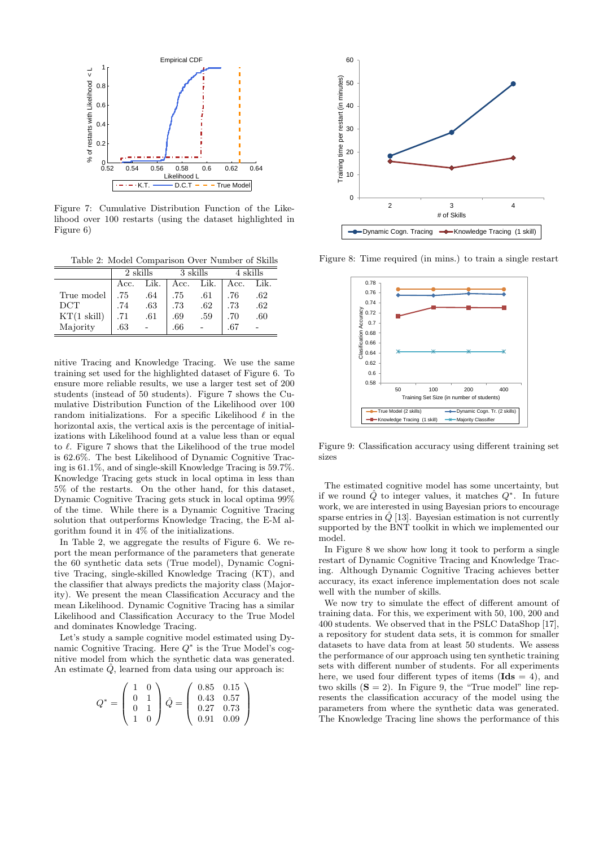

Figure 7: Cumulative Distribution Function of the Likelihood over 100 restarts (using the dataset highlighted in Figure 6)

Table 2: Model Comparison Over Number of Skills

|                | 2 skills |      | 3 skills |      | 4 skills |      |
|----------------|----------|------|----------|------|----------|------|
|                | Acc.     | Lik. | Acc.     | Lik. | Acc.     | Lik. |
| True model     | .75      | .64  | .75      | .61  | .76      | .62  |
| <b>DCT</b>     | .74      | .63  | .73      | .62  | .73      | .62  |
| $KT(1)$ skill) | .71      | .61  | .69      | .59  | .70      | .60  |
| Majority       | .63      |      | .66      |      | .67      |      |

nitive Tracing and Knowledge Tracing. We use the same training set used for the highlighted dataset of Figure 6. To ensure more reliable results, we use a larger test set of 200 students (instead of 50 students). Figure 7 shows the Cumulative Distribution Function of the Likelihood over 100 random initializations. For a specific Likelihood  $\ell$  in the horizontal axis, the vertical axis is the percentage of initializations with Likelihood found at a value less than or equal to  $\ell$ . Figure 7 shows that the Likelihood of the true model is 62.6%. The best Likelihood of Dynamic Cognitive Tracing is 61.1%, and of single-skill Knowledge Tracing is 59.7%. Knowledge Tracing gets stuck in local optima in less than 5% of the restarts. On the other hand, for this dataset, Dynamic Cognitive Tracing gets stuck in local optima 99% of the time. While there is a Dynamic Cognitive Tracing solution that outperforms Knowledge Tracing, the E-M algorithm found it in 4% of the initializations.

In Table 2, we aggregate the results of Figure 6. We report the mean performance of the parameters that generate the 60 synthetic data sets (True model), Dynamic Cognitive Tracing, single-skilled Knowledge Tracing (KT), and the classifier that always predicts the majority class (Majority). We present the mean Classification Accuracy and the mean Likelihood. Dynamic Cognitive Tracing has a similar Likelihood and Classification Accuracy to the True Model and dominates Knowledge Tracing.

Let's study a sample cognitive model estimated using Dynamic Cognitive Tracing. Here  $Q^*$  is the True Model's cognitive model from which the synthetic data was generated. An estimate  $\hat{Q}$ , learned from data using our approach is:

$$
Q^* = \left(\begin{array}{cc} 1 & 0 \\ 0 & 1 \\ 0 & 1 \\ 1 & 0 \end{array}\right) \hat{Q} = \left(\begin{array}{ccc} 0.85 & 0.15 \\ 0.43 & 0.57 \\ 0.27 & 0.73 \\ 0.91 & 0.09 \end{array}\right)
$$



Figure 8: Time required (in mins.) to train a single restart



Figure 9: Classification accuracy using different training set sizes

The estimated cognitive model has some uncertainty, but if we round  $\hat{Q}$  to integer values, it matches  $Q^*$ . In future work, we are interested in using Bayesian priors to encourage sparse entries in  $\hat{Q}$  [13]. Bayesian estimation is not currently supported by the BNT toolkit in which we implemented our model.

In Figure 8 we show how long it took to perform a single restart of Dynamic Cognitive Tracing and Knowledge Tracing. Although Dynamic Cognitive Tracing achieves better accuracy, its exact inference implementation does not scale well with the number of skills.

We now try to simulate the effect of different amount of training data. For this, we experiment with 50, 100, 200 and 400 students. We observed that in the PSLC DataShop [17], a repository for student data sets, it is common for smaller datasets to have data from at least 50 students. We assess the performance of our approach using ten synthetic training sets with different number of students. For all experiments here, we used four different types of items ( $\text{Ids} = 4$ ), and two skills  $(S = 2)$ . In Figure 9, the "True model" line represents the classification accuracy of the model using the parameters from where the synthetic data was generated. The Knowledge Tracing line shows the performance of this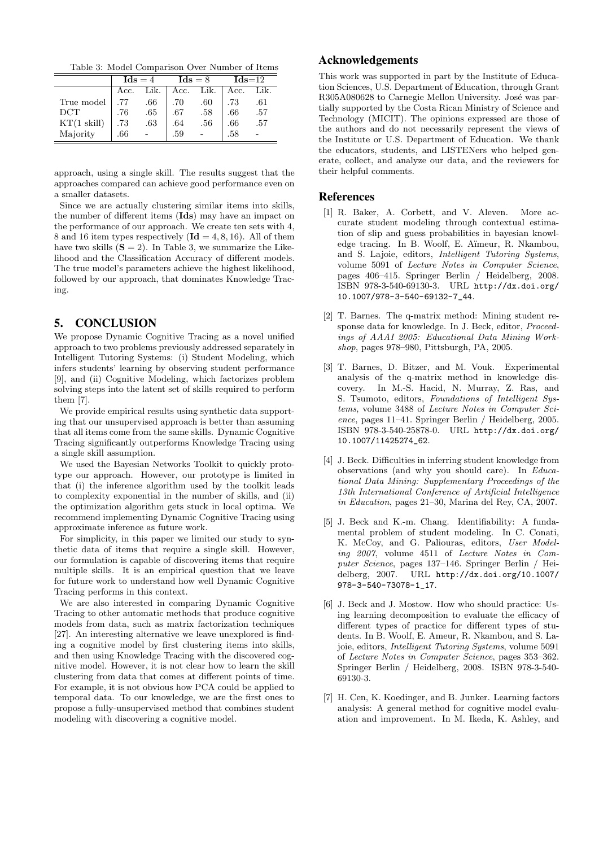Table 3: Model Comparison Over Number of Items

|                | $\text{Ids} = 4$ |      | $\text{Ids} = 8$ |      | $\mathbf{Ids} = 12$ |      |
|----------------|------------------|------|------------------|------|---------------------|------|
|                | Acc.             | Lik. | Acc.             | Lik. | Acc.                | Lik. |
| True model     | .77              | .66  | .70              | .60  | .73                 | .61  |
| <b>DCT</b>     | .76              | .65  | .67              | .58  | .66                 | .57  |
| $KT(1)$ skill) | .73              | .63  | .64              | .56  | .66                 | .57  |
| Majority       | .66              |      | .59              |      | .58                 |      |

approach, using a single skill. The results suggest that the approaches compared can achieve good performance even on a smaller datasets.

Since we are actually clustering similar items into skills, the number of different items (Ids) may have an impact on the performance of our approach. We create ten sets with 4, 8 and 16 item types respectively  $(\mathbf{Id} = 4, 8, 16)$ . All of them have two skills  $(S = 2)$ . In Table 3, we summarize the Likelihood and the Classification Accuracy of different models. The true model's parameters achieve the highest likelihood, followed by our approach, that dominates Knowledge Tracing.

# 5. CONCLUSION

We propose Dynamic Cognitive Tracing as a novel unified approach to two problems previously addressed separately in Intelligent Tutoring Systems: (i) Student Modeling, which infers students' learning by observing student performance [9], and (ii) Cognitive Modeling, which factorizes problem solving steps into the latent set of skills required to perform them [7].

We provide empirical results using synthetic data supporting that our unsupervised approach is better than assuming that all items come from the same skills. Dynamic Cognitive Tracing significantly outperforms Knowledge Tracing using a single skill assumption.

We used the Bayesian Networks Toolkit to quickly prototype our approach. However, our prototype is limited in that (i) the inference algorithm used by the toolkit leads to complexity exponential in the number of skills, and (ii) the optimization algorithm gets stuck in local optima. We recommend implementing Dynamic Cognitive Tracing using approximate inference as future work.

For simplicity, in this paper we limited our study to synthetic data of items that require a single skill. However, our formulation is capable of discovering items that require multiple skills. It is an empirical question that we leave for future work to understand how well Dynamic Cognitive Tracing performs in this context.

We are also interested in comparing Dynamic Cognitive Tracing to other automatic methods that produce cognitive models from data, such as matrix factorization techniques [27]. An interesting alternative we leave unexplored is finding a cognitive model by first clustering items into skills, and then using Knowledge Tracing with the discovered cognitive model. However, it is not clear how to learn the skill clustering from data that comes at different points of time. For example, it is not obvious how PCA could be applied to temporal data. To our knowledge, we are the first ones to propose a fully-unsupervised method that combines student modeling with discovering a cognitive model.

# Acknowledgements

This work was supported in part by the Institute of Education Sciences, U.S. Department of Education, through Grant R305A080628 to Carnegie Mellon University. José was partially supported by the Costa Rican Ministry of Science and Technology (MICIT). The opinions expressed are those of the authors and do not necessarily represent the views of the Institute or U.S. Department of Education. We thank the educators, students, and LISTENers who helped generate, collect, and analyze our data, and the reviewers for their helpful comments.

#### References

- [1] R. Baker, A. Corbett, and V. Aleven. More accurate student modeling through contextual estimation of slip and guess probabilities in bayesian knowledge tracing. In B. Woolf, E. A¨ımeur, R. Nkambou, and S. Lajoie, editors, Intelligent Tutoring Systems, volume 5091 of Lecture Notes in Computer Science, pages 406–415. Springer Berlin / Heidelberg, 2008. ISBN 978-3-540-69130-3. URL http://dx.doi.org/ 10.1007/978-3-540-69132-7\_44.
- [2] T. Barnes. The q-matrix method: Mining student response data for knowledge. In J. Beck, editor, Proceedings of AAAI 2005: Educational Data Mining Workshop, pages 978–980, Pittsburgh, PA, 2005.
- [3] T. Barnes, D. Bitzer, and M. Vouk. Experimental analysis of the q-matrix method in knowledge discovery. In M.-S. Hacid, N. Murray, Z. Ras, and S. Tsumoto, editors, Foundations of Intelligent Systems, volume 3488 of Lecture Notes in Computer Science, pages 11–41. Springer Berlin / Heidelberg, 2005. ISBN 978-3-540-25878-0. URL http://dx.doi.org/ 10.1007/11425274\_62.
- [4] J. Beck. Difficulties in inferring student knowledge from observations (and why you should care). In Educational Data Mining: Supplementary Proceedings of the 13th International Conference of Artificial Intelligence in Education, pages 21–30, Marina del Rey, CA, 2007.
- [5] J. Beck and K.-m. Chang. Identifiability: A fundamental problem of student modeling. In C. Conati, K. McCoy, and G. Paliouras, editors, User Modeling 2007, volume 4511 of Lecture Notes in Computer Science, pages 137–146. Springer Berlin / Heidelberg, 2007. URL http://dx.doi.org/10.1007/ 978-3-540-73078-1\_17.
- [6] J. Beck and J. Mostow. How who should practice: Using learning decomposition to evaluate the efficacy of different types of practice for different types of students. In B. Woolf, E. Ameur, R. Nkambou, and S. Lajoie, editors, Intelligent Tutoring Systems, volume 5091 of Lecture Notes in Computer Science, pages 353–362. Springer Berlin / Heidelberg, 2008. ISBN 978-3-540- 69130-3.
- [7] H. Cen, K. Koedinger, and B. Junker. Learning factors analysis: A general method for cognitive model evaluation and improvement. In M. Ikeda, K. Ashley, and